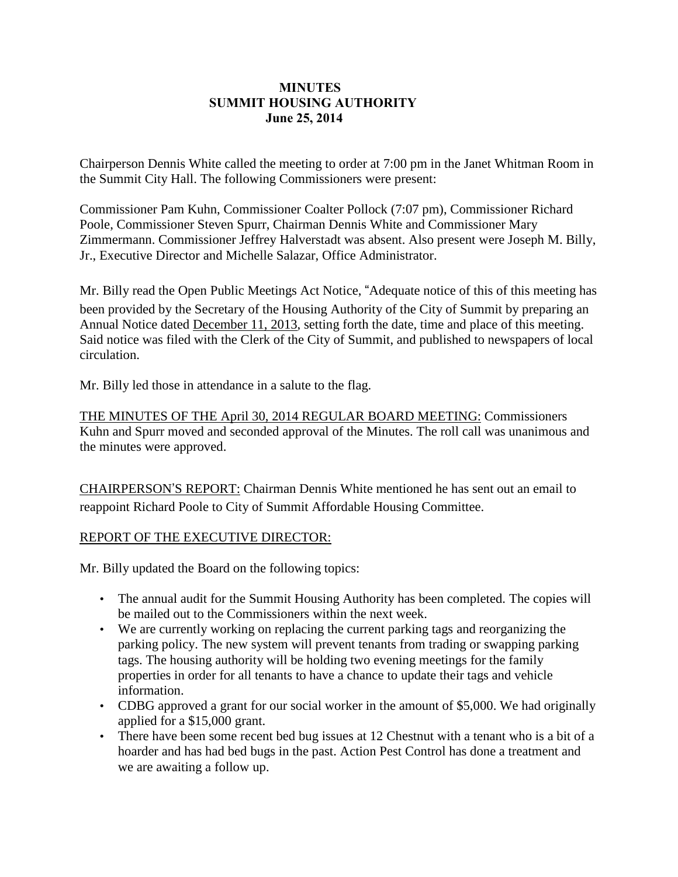## **MINUTES SUMMIT HOUSING AUTHORITY June 25, 2014**

Chairperson Dennis White called the meeting to order at 7:00 pm in the Janet Whitman Room in the Summit City Hall. The following Commissioners were present:

Commissioner Pam Kuhn, Commissioner Coalter Pollock (7:07 pm), Commissioner Richard Poole, Commissioner Steven Spurr, Chairman Dennis White and Commissioner Mary Zimmermann. Commissioner Jeffrey Halverstadt was absent. Also present were Joseph M. Billy, Jr., Executive Director and Michelle Salazar, Office Administrator.

Mr. Billy read the Open Public Meetings Act Notice, "Adequate notice of this of this meeting has been provided by the Secretary of the Housing Authority of the City of Summit by preparing an Annual Notice dated December 11, 2013, setting forth the date, time and place of this meeting. Said notice was filed with the Clerk of the City of Summit, and published to newspapers of local circulation.

Mr. Billy led those in attendance in a salute to the flag.

THE MINUTES OF THE April 30, 2014 REGULAR BOARD MEETING: Commissioners Kuhn and Spurr moved and seconded approval of the Minutes. The roll call was unanimous and the minutes were approved.

CHAIRPERSON'S REPORT: Chairman Dennis White mentioned he has sent out an email to reappoint Richard Poole to City of Summit Affordable Housing Committee.

## REPORT OF THE EXECUTIVE DIRECTOR:

Mr. Billy updated the Board on the following topics:

- The annual audit for the Summit Housing Authority has been completed. The copies will be mailed out to the Commissioners within the next week.
- We are currently working on replacing the current parking tags and reorganizing the parking policy. The new system will prevent tenants from trading or swapping parking tags. The housing authority will be holding two evening meetings for the family properties in order for all tenants to have a chance to update their tags and vehicle information.
- CDBG approved a grant for our social worker in the amount of \$5,000. We had originally applied for a \$15,000 grant.
- There have been some recent bed bug issues at 12 Chestnut with a tenant who is a bit of a hoarder and has had bed bugs in the past. Action Pest Control has done a treatment and we are awaiting a follow up.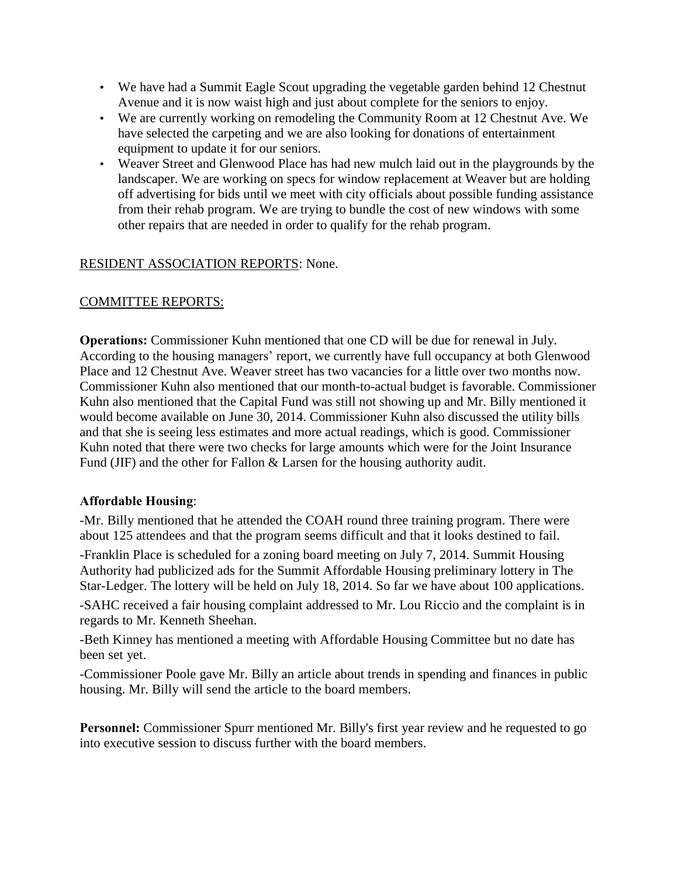- We have had a Summit Eagle Scout upgrading the vegetable garden behind 12 Chestnut Avenue and it is now waist high and just about complete for the seniors to enjoy.
- We are currently working on remodeling the Community Room at 12 Chestnut Ave. We have selected the carpeting and we are also looking for donations of entertainment equipment to update it for our seniors.
- Weaver Street and Glenwood Place has had new mulch laid out in the playgrounds by the landscaper. We are working on specs for window replacement at Weaver but are holding off advertising for bids until we meet with city officials about possible funding assistance from their rehab program. We are trying to bundle the cost of new windows with some other repairs that are needed in order to qualify for the rehab program.

## RESIDENT ASSOCIATION REPORTS: None.

## COMMITTEE REPORTS:

**Operations:** Commissioner Kuhn mentioned that one CD will be due for renewal in July. According to the housing managers' report, we currently have full occupancy at both Glenwood Place and 12 Chestnut Ave. Weaver street has two vacancies for a little over two months now. Commissioner Kuhn also mentioned that our month-to-actual budget is favorable. Commissioner Kuhn also mentioned that the Capital Fund was still not showing up and Mr. Billy mentioned it would become available on June 30, 2014. Commissioner Kuhn also discussed the utility bills and that she is seeing less estimates and more actual readings, which is good. Commissioner Kuhn noted that there were two checks for large amounts which were for the Joint Insurance Fund (JIF) and the other for Fallon & Larsen for the housing authority audit.

## **Affordable Housing**:

-Mr. Billy mentioned that he attended the COAH round three training program. There were about 125 attendees and that the program seems difficult and that it looks destined to fail.

-Franklin Place is scheduled for a zoning board meeting on July 7, 2014. Summit Housing Authority had publicized ads for the Summit Affordable Housing preliminary lottery in The Star-Ledger. The lottery will be held on July 18, 2014. So far we have about 100 applications.

-SAHC received a fair housing complaint addressed to Mr. Lou Riccio and the complaint is in regards to Mr. Kenneth Sheehan.

-Beth Kinney has mentioned a meeting with Affordable Housing Committee but no date has been set yet.

-Commissioner Poole gave Mr. Billy an article about trends in spending and finances in public housing. Mr. Billy will send the article to the board members.

**Personnel:** Commissioner Spurr mentioned Mr. Billy's first year review and he requested to go into executive session to discuss further with the board members.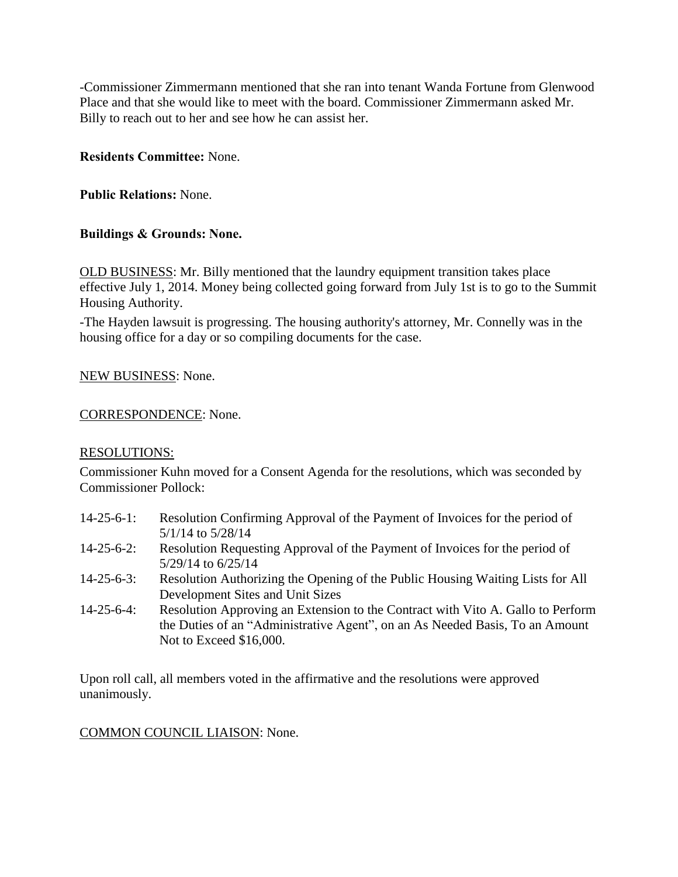-Commissioner Zimmermann mentioned that she ran into tenant Wanda Fortune from Glenwood Place and that she would like to meet with the board. Commissioner Zimmermann asked Mr. Billy to reach out to her and see how he can assist her.

## **Residents Committee:** None.

**Public Relations:** None.

# **Buildings & Grounds: None.**

OLD BUSINESS: Mr. Billy mentioned that the laundry equipment transition takes place effective July 1, 2014. Money being collected going forward from July 1st is to go to the Summit Housing Authority.

-The Hayden lawsuit is progressing. The housing authority's attorney, Mr. Connelly was in the housing office for a day or so compiling documents for the case.

## NEW BUSINESS: None.

#### CORRESPONDENCE: None.

#### RESOLUTIONS:

Commissioner Kuhn moved for a Consent Agenda for the resolutions, which was seconded by Commissioner Pollock:

- 14-25-6-1: Resolution Confirming Approval of the Payment of Invoices for the period of 5/1/14 to 5/28/14
- 14-25-6-2: Resolution Requesting Approval of the Payment of Invoices for the period of 5/29/14 to 6/25/14
- 14-25-6-3: Resolution Authorizing the Opening of the Public Housing Waiting Lists for All Development Sites and Unit Sizes
- 14-25-6-4: Resolution Approving an Extension to the Contract with Vito A. Gallo to Perform the Duties of an "Administrative Agent", on an As Needed Basis, To an Amount Not to Exceed \$16,000.

Upon roll call, all members voted in the affirmative and the resolutions were approved unanimously.

#### COMMON COUNCIL LIAISON: None.